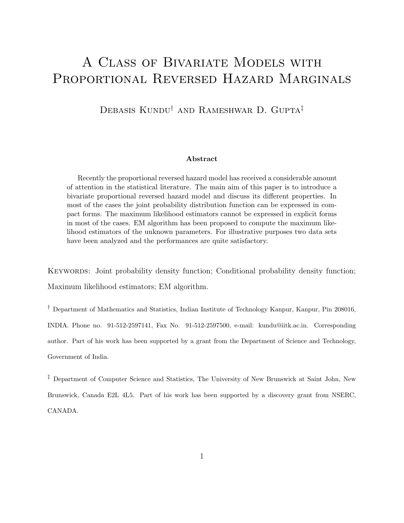# A Class of Bivariate Models with PROPORTIONAL REVERSED HAZARD MARGINALS

DEBASIS KUNDU<sup>†</sup> AND RAMESHWAR D. GUPTA<sup>‡</sup>

#### Abstract

Recently the proportional reversed hazard model has received a considerable amount of attention in the statistical literature. The main aim of this paper is to introduce a bivariate proportional reversed hazard model and discuss its different properties. In most of the cases the joint probability distribution function can be expressed in compact forms. The maximum likelihood estimators cannot be expressed in explicit forms in most of the cases. EM algorithm has been proposed to compute the maximum likelihood estimators of the unknown parameters. For illustrative purposes two data sets have been analyzed and the performances are quite satisfactory.

KEYWORDS: Joint probability density function; Conditional probability density function; Maximum likelihood estimators; EM algorithm.

† Department of Mathematics and Statistics, Indian Institute of Technology Kanpur, Kanpur, Pin 208016, INDIA. Phone no. 91-512-2597141, Fax No. 91-512-2597500, e-mail: kundu@iitk.ac.in. Corresponding author. Part of his work has been supported by a grant from the Department of Science and Technology, Government of India.

‡ Department of Computer Science and Statistics, The University of New Brunswick at Saint John, New Brunswick, Canada E2L 4L5. Part of his work has been supported by a discovery grant from NSERC, CANADA.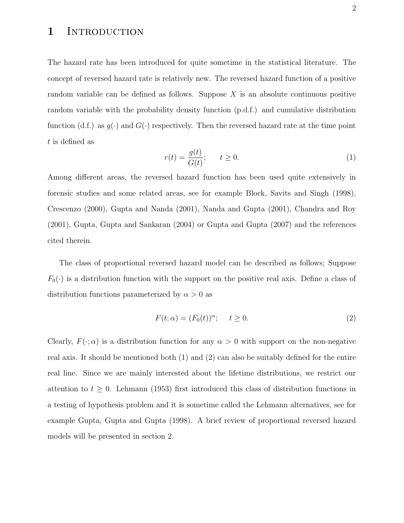### 1 INTRODUCTION

The hazard rate has been introduced for quite sometime in the statistical literature. The concept of reversed hazard rate is relatively new. The reversed hazard function of a positive random variable can be defined as follows. Suppose  $X$  is an absolute continuous positive random variable with the probability density function (p.d.f.) and cumulative distribution function (d.f.) as  $g(\cdot)$  and  $G(\cdot)$  respectively. Then the reversed hazard rate at the time point t is defined as

$$
r(t) = \frac{g(t)}{G(t)}; \qquad t \ge 0.
$$
\n<sup>(1)</sup>

Among different areas, the reversed hazard function has been used quite extensively in forensic studies and some related areas, see for example Block, Savits and Singh (1998), Crescenzo (2000), Gupta and Nanda (2001), Nanda and Gupta (2001), Chandra and Roy (2001), Gupta, Gupta and Sankaran (2004) or Gupta and Gupta (2007) and the references cited therein.

The class of proportional reversed hazard model can be described as follows; Suppose  $F_0(\cdot)$  is a distribution function with the support on the positive real axis. Define a class of distribution functions parameterized by  $\alpha > 0$  as

$$
F(t; \alpha) = (F_0(t))^{\alpha}; \quad t \ge 0.
$$
 (2)

Clearly,  $F(\cdot; \alpha)$  is a distribution function for any  $\alpha > 0$  with support on the non-negative real axis. It should be mentioned both (1) and (2) can also be suitably defined for the entire real line. Since we are mainly interested about the lifetime distributions, we restrict our attention to  $t \geq 0$ . Lehmann (1953) first introduced this class of distribution functions in a testing of hypothesis problem and it is sometime called the Lehmann alternatives, see for example Gupta, Gupta and Gupta (1998). A brief review of proportional reversed hazard models will be presented in section 2.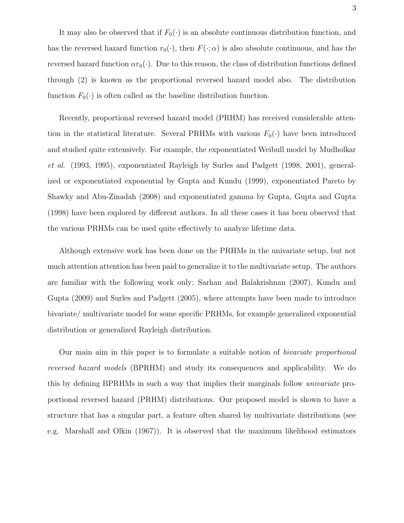It may also be observed that if  $F_0(\cdot)$  is an absolute continuous distribution function, and has the reversed hazard function  $r_0(\cdot)$ , then  $F(\cdot; \alpha)$  is also absolute continuous, and has the reversed hazard function  $\alpha r_0(\cdot)$ . Due to this reason, the class of distribution functions defined through (2) is known as the proportional reversed hazard model also. The distribution function  $F_0(\cdot)$  is often called as the baseline distribution function.

Recently, proportional reversed hazard model (PRHM) has received considerable attention in the statistical literature. Several PRHMs with various  $F_0(\cdot)$  have been introduced and studied quite extensively. For example, the exponentiated Weibull model by Mudholkar et al. (1993, 1995), exponentiated Rayleigh by Surles and Padgett (1998, 2001), generalized or exponentiated exponential by Gupta and Kundu (1999), exponentiated Pareto by Shawky and Abu-Zinadah (2008) and exponentiated gamma by Gupta, Gupta and Gupta (1998) have been explored by different authors. In all these cases it has been observed that the various PRHMs can be used quite effectively to analyze lifetime data.

Although extensive work has been done on the PRHMs in the univariate setup, but not much attention attention has been paid to generalize it to the multivariate setup. The authors are familiar with the following work only; Sarhan and Balakrishnan (2007), Kundu and Gupta (2009) and Surles and Padgett (2005), where attempts have been made to introduce bivariate/ multivariate model for some specific PRHMs, for example generalized exponential distribution or generalized Rayleigh distribution.

Our main aim in this paper is to formulate a suitable notion of bivariate proportional reversed hazard models (BPRHM) and study its consequences and applicability. We do this by defining BPRHMs in such a way that implies their marginals follow univariate proportional reversed hazard (PRHM) distributions. Our proposed model is shown to have a structure that has a singular part, a feature often shared by multivariate distributions (see e.g. Marshall and Olkin (1967)). It is observed that the maximum likelihood estimators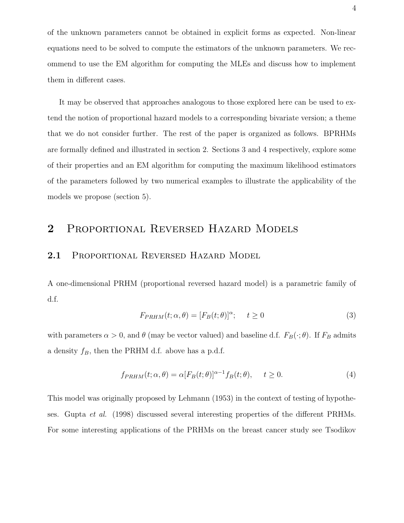of the unknown parameters cannot be obtained in explicit forms as expected. Non-linear equations need to be solved to compute the estimators of the unknown parameters. We recommend to use the EM algorithm for computing the MLEs and discuss how to implement them in different cases.

It may be observed that approaches analogous to those explored here can be used to extend the notion of proportional hazard models to a corresponding bivariate version; a theme that we do not consider further. The rest of the paper is organized as follows. BPRHMs are formally defined and illustrated in section 2. Sections 3 and 4 respectively, explore some of their properties and an EM algorithm for computing the maximum likelihood estimators of the parameters followed by two numerical examples to illustrate the applicability of the models we propose (section 5).

### 2 Proportional Reversed Hazard Models

### 2.1 PROPORTIONAL REVERSED HAZARD MODEL

A one-dimensional PRHM (proportional reversed hazard model) is a parametric family of d.f.

$$
F_{PRHM}(t; \alpha, \theta) = [F_B(t; \theta)]^{\alpha}; \quad t \ge 0
$$
\n(3)

with parameters  $\alpha > 0$ , and  $\theta$  (may be vector valued) and baseline d.f.  $F_B(\cdot; \theta)$ . If  $F_B$  admits a density  $f_B$ , then the PRHM d.f. above has a p.d.f.

$$
f_{PRHM}(t; \alpha, \theta) = \alpha [F_B(t; \theta)]^{\alpha - 1} f_B(t; \theta), \quad t \ge 0.
$$
 (4)

This model was originally proposed by Lehmann (1953) in the context of testing of hypotheses. Gupta et al. (1998) discussed several interesting properties of the different PRHMs. For some interesting applications of the PRHMs on the breast cancer study see Tsodikov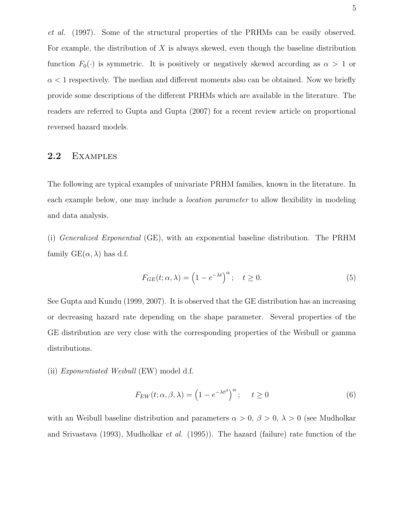et al. (1997). Some of the structural properties of the PRHMs can be easily observed. For example, the distribution of  $X$  is always skewed, even though the baseline distribution function  $F_0(\cdot)$  is symmetric. It is positively or negatively skewed according as  $\alpha > 1$  or  $\alpha$  < 1 respectively. The median and different moments also can be obtained. Now we briefly provide some descriptions of the different PRHMs which are available in the literature. The readers are referred to Gupta and Gupta (2007) for a recent review article on proportional reversed hazard models.

### 2.2 Examples

The following are typical examples of univariate PRHM families, known in the literature. In each example below, one may include a *location parameter* to allow flexibility in modeling and data analysis.

(i) Generalized Exponential (GE), with an exponential baseline distribution. The PRHM family  $GE(\alpha, \lambda)$  has d.f.

$$
F_{GE}(t; \alpha, \lambda) = \left(1 - e^{-\lambda t}\right)^{\alpha}; \quad t \ge 0.
$$
 (5)

See Gupta and Kundu (1999, 2007). It is observed that the GE distribution has an increasing or decreasing hazard rate depending on the shape parameter. Several properties of the GE distribution are very close with the corresponding properties of the Weibull or gamma distributions.

#### (ii) Exponentiated Weibull (EW) model d.f.

$$
F_{EW}(t; \alpha, \beta, \lambda) = \left(1 - e^{-\lambda t^{\beta}}\right)^{\alpha}; \quad t \ge 0
$$
\n<sup>(6)</sup>

with an Weibull baseline distribution and parameters  $\alpha > 0$ ,  $\beta > 0$ ,  $\lambda > 0$  (see Mudholkar and Srivastava (1993), Mudholkar et al. (1995)). The hazard (failure) rate function of the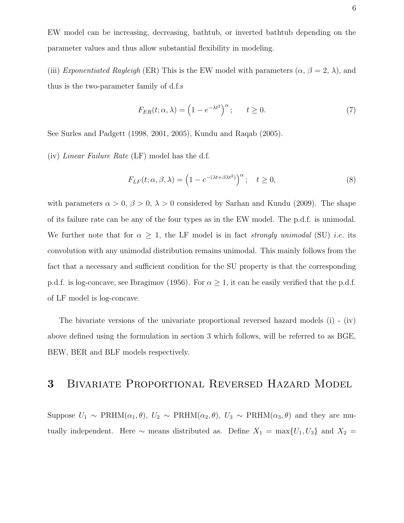EW model can be increasing, decreasing, bathtub, or inverted bathtub depending on the parameter values and thus allow substantial flexibility in modeling.

(iii) Exponentiated Rayleigh (ER) This is the EW model with parameters  $(\alpha, \beta = 2, \lambda)$ , and thus is the two-parameter family of d.f.s

$$
F_{ER}(t; \alpha, \lambda) = \left(1 - e^{-\lambda t^2}\right)^{\alpha}; \qquad t \ge 0.
$$
 (7)

See Surles and Padgett (1998, 2001, 2005), Kundu and Raqab (2005).

(iv) Linear Failure Rate (LF) model has the d.f.

$$
F_{LF}(t; \alpha, \beta, \lambda) = \left(1 - e^{-(\lambda t + \beta \lambda t^2)}\right)^{\alpha}; \quad t \ge 0,
$$
\n(8)

with parameters  $\alpha > 0$ ,  $\beta > 0$ ,  $\lambda > 0$  considered by Sarhan and Kundu (2009). The shape of its failure rate can be any of the four types as in the EW model. The p.d.f. is unimodal. We further note that for  $\alpha \geq 1$ , the LF model is in fact *strongly unimodal* (SU) *i.e.* its convolution with any unimodal distribution remains unimodal. This mainly follows from the fact that a necessary and sufficient condition for the SU property is that the corresponding p.d.f. is log-concave, see Ibragimov (1956). For  $\alpha \geq 1$ , it can be easily verified that the p.d.f. of LF model is log-concave.

The bivariate versions of the univariate proportional reversed hazard models (i) - (iv) above defined using the formulation in section 3 which follows, will be referred to as BGE, BEW, BER and BLF models respectively.

# 3 Bivariate Proportional Reversed Hazard Model

Suppose  $U_1 \sim \text{PRHM}(\alpha_1, \theta), U_2 \sim \text{PRHM}(\alpha_2, \theta), U_3 \sim \text{PRHM}(\alpha_3, \theta)$  and they are mutually independent. Here  $\sim$  means distributed as. Define  $X_1 = \max\{U_1, U_3\}$  and  $X_2 =$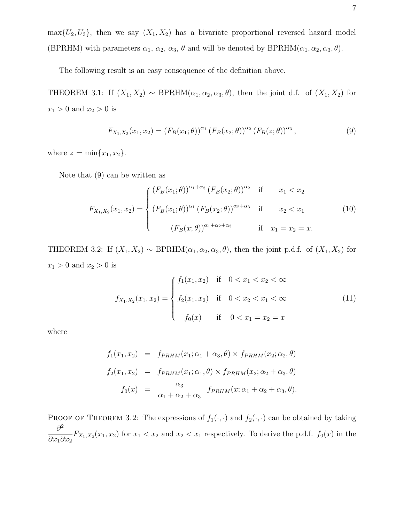$\max\{U_2, U_3\}$ , then we say  $(X_1, X_2)$  has a bivariate proportional reversed hazard model (BPRHM) with parameters  $\alpha_1, \alpha_2, \alpha_3, \theta$  and will be denoted by BPRHM $(\alpha_1, \alpha_2, \alpha_3, \theta)$ .

The following result is an easy consequence of the definition above.

THEOREM 3.1: If  $(X_1, X_2) \sim \text{BPRHM}(\alpha_1, \alpha_2, \alpha_3, \theta)$ , then the joint d.f. of  $(X_1, X_2)$  for  $x_1>0$  and  $x_2>0$  is

$$
F_{X_1,X_2}(x_1,x_2) = (F_B(x_1;\theta))^{\alpha_1} (F_B(x_2;\theta))^{\alpha_2} (F_B(z;\theta))^{\alpha_3},
$$
\n(9)

where  $z = \min\{x_1, x_2\}.$ 

Note that (9) can be written as

$$
F_{X_1, X_2}(x_1, x_2) = \begin{cases} (F_B(x_1; \theta))^{\alpha_1 + \alpha_3} (F_B(x_2; \theta))^{\alpha_2} & \text{if } x_1 < x_2 \\ (F_B(x_1; \theta))^{\alpha_1} (F_B(x_2; \theta))^{\alpha_2 + \alpha_3} & \text{if } x_2 < x_1 \\ (F_B(x; \theta))^{\alpha_1 + \alpha_2 + \alpha_3} & \text{if } x_1 = x_2 = x. \end{cases}
$$
(10)

THEOREM 3.2: If  $(X_1, X_2) \sim \text{BPRHM}(\alpha_1, \alpha_2, \alpha_3, \theta)$ , then the joint p.d.f. of  $(X_1, X_2)$  for  $x_1 > 0$  and  $x_2 > 0$  is

$$
f_{X_1, X_2}(x_1, x_2) = \begin{cases} f_1(x_1, x_2) & \text{if } 0 < x_1 < x_2 < \infty \\ f_2(x_1, x_2) & \text{if } 0 < x_2 < x_1 < \infty \\ f_0(x) & \text{if } 0 < x_1 = x_2 = x \end{cases}
$$
(11)

where

$$
f_1(x_1, x_2) = f_{PRHM}(x_1; \alpha_1 + \alpha_3, \theta) \times f_{PRHM}(x_2; \alpha_2, \theta)
$$
  

$$
f_2(x_1, x_2) = f_{PRHM}(x_1; \alpha_1, \theta) \times f_{PRHM}(x_2; \alpha_2 + \alpha_3, \theta)
$$
  

$$
f_0(x) = \frac{\alpha_3}{\alpha_1 + \alpha_2 + \alpha_3} f_{PRHM}(x; \alpha_1 + \alpha_2 + \alpha_3, \theta).
$$

PROOF OF THEOREM 3.2: The expressions of  $f_1(\cdot, \cdot)$  and  $f_2(\cdot, \cdot)$  can be obtained by taking  $\partial^2$  $\partial x_1 \partial x_2$  $F_{X_1,X_2}(x_1,x_2)$  for  $x_1 < x_2$  and  $x_2 < x_1$  respectively. To derive the p.d.f.  $f_0(x)$  in the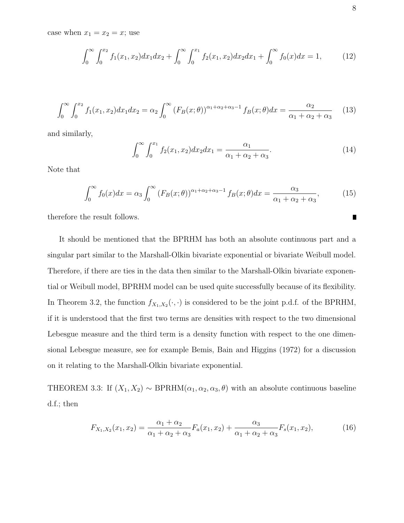case when  $x_1 = x_2 = x$ ; use

$$
\int_0^\infty \int_0^{x_2} f_1(x_1, x_2) dx_1 dx_2 + \int_0^\infty \int_0^{x_1} f_2(x_1, x_2) dx_2 dx_1 + \int_0^\infty f_0(x) dx = 1,
$$
 (12)

$$
\int_0^\infty \int_0^{x_2} f_1(x_1, x_2) dx_1 dx_2 = \alpha_2 \int_0^\infty \left( F_B(x; \theta) \right)^{\alpha_1 + \alpha_2 + \alpha_3 - 1} f_B(x; \theta) dx = \frac{\alpha_2}{\alpha_1 + \alpha_2 + \alpha_3} \tag{13}
$$

and similarly,

$$
\int_0^\infty \int_0^{x_1} f_2(x_1, x_2) dx_2 dx_1 = \frac{\alpha_1}{\alpha_1 + \alpha_2 + \alpha_3}.
$$
 (14)

Note that

$$
\int_0^\infty f_0(x)dx = \alpha_3 \int_0^\infty \left(F_B(x;\theta)\right)^{\alpha_1+\alpha_2+\alpha_3-1} f_B(x;\theta)dx = \frac{\alpha_3}{\alpha_1+\alpha_2+\alpha_3},\tag{15}
$$

therefore the result follows.

It should be mentioned that the BPRHM has both an absolute continuous part and a singular part similar to the Marshall-Olkin bivariate exponential or bivariate Weibull model. Therefore, if there are ties in the data then similar to the Marshall-Olkin bivariate exponential or Weibull model, BPRHM model can be used quite successfully because of its flexibility. In Theorem 3.2, the function  $f_{X_1,X_2}(\cdot,\cdot)$  is considered to be the joint p.d.f. of the BPRHM, if it is understood that the first two terms are densities with respect to the two dimensional Lebesgue measure and the third term is a density function with respect to the one dimensional Lebesgue measure, see for example Bemis, Bain and Higgins (1972) for a discussion on it relating to the Marshall-Olkin bivariate exponential.

THEOREM 3.3: If  $(X_1, X_2) \sim \text{BPRHM}(\alpha_1, \alpha_2, \alpha_3, \theta)$  with an absolute continuous baseline d.f.; then

$$
F_{X_1,X_2}(x_1,x_2) = \frac{\alpha_1 + \alpha_2}{\alpha_1 + \alpha_2 + \alpha_3} F_a(x_1,x_2) + \frac{\alpha_3}{\alpha_1 + \alpha_2 + \alpha_3} F_s(x_1,x_2),\tag{16}
$$

 $\blacksquare$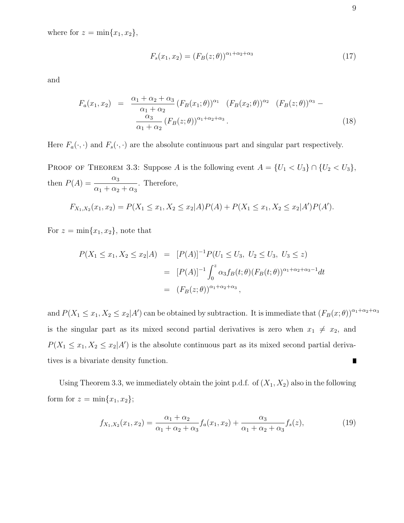where for  $z = \min\{x_1, x_2\},\$ 

$$
F_s(x_1, x_2) = (F_B(z; \theta))^{\alpha_1 + \alpha_2 + \alpha_3} \tag{17}
$$

and

$$
F_a(x_1, x_2) = \frac{\alpha_1 + \alpha_2 + \alpha_3}{\alpha_1 + \alpha_2} (F_B(x_1; \theta))^{\alpha_1} (F_B(x_2; \theta))^{\alpha_2} (F_B(z; \theta))^{\alpha_3} - \frac{\alpha_3}{\alpha_1 + \alpha_2} (F_B(z; \theta))^{\alpha_1 + \alpha_2 + \alpha_3}.
$$
\n(18)

Here  $F_a(\cdot, \cdot)$  and  $F_s(\cdot, \cdot)$  are the absolute continuous part and singular part respectively.

PROOF OF THEOREM 3.3: Suppose A is the following event  $A = \{U_1 < U_3\} \cap \{U_2 < U_3\}$ , then  $P(A) = \frac{\alpha_3}{\alpha_3}$  $\frac{\alpha_3}{\alpha_1 + \alpha_2 + \alpha_3}$ . Therefore,

$$
F_{X_1,X_2}(x_1,x_2) = P(X_1 \le x_1, X_2 \le x_2|A)P(A) + P(X_1 \le x_1, X_2 \le x_2|A')P(A').
$$

For  $z = \min\{x_1, x_2\}$ , note that

$$
P(X_1 \le x_1, X_2 \le x_2 | A) = [P(A)]^{-1} P(U_1 \le U_3, U_2 \le U_3, U_3 \le z)
$$
  
= 
$$
[P(A)]^{-1} \int_0^z \alpha_3 f_B(t; \theta) (F_B(t; \theta))^{\alpha_1 + \alpha_2 + \alpha_3 - 1} dt
$$
  
= 
$$
(F_B(z; \theta))^{\alpha_1 + \alpha_2 + \alpha_3},
$$

and  $P(X_1 \leq x_1, X_2 \leq x_2 | A')$  can be obtained by subtraction. It is immediate that  $(F_B(x; \theta))^{\alpha_1+\alpha_2+\alpha_3}$ is the singular part as its mixed second partial derivatives is zero when  $x_1 \neq x_2$ , and  $P(X_1 \leq x_1, X_2 \leq x_2 | A')$  is the absolute continuous part as its mixed second partial derivatives is a bivariate density function.  $\blacksquare$ 

Using Theorem 3.3, we immediately obtain the joint p.d.f. of  $(X_1, X_2)$  also in the following form for  $z = \min\{x_1, x_2\};$ 

$$
f_{X_1,X_2}(x_1,x_2) = \frac{\alpha_1 + \alpha_2}{\alpha_1 + \alpha_2 + \alpha_3} f_a(x_1,x_2) + \frac{\alpha_3}{\alpha_1 + \alpha_2 + \alpha_3} f_s(z), \tag{19}
$$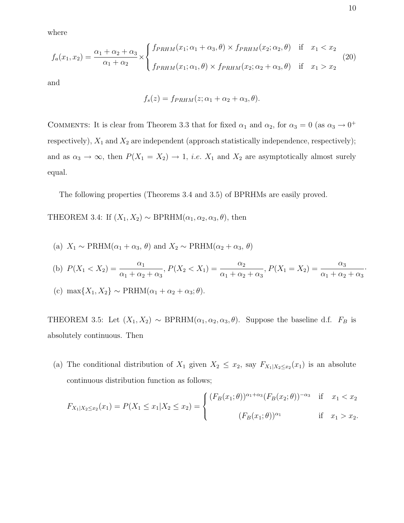where

$$
f_a(x_1, x_2) = \frac{\alpha_1 + \alpha_2 + \alpha_3}{\alpha_1 + \alpha_2} \times \begin{cases} f_{PRHM}(x_1; \alpha_1 + \alpha_3, \theta) \times f_{PRHM}(x_2; \alpha_2, \theta) & \text{if } x_1 < x_2 \\ f_{PRHM}(x_1; \alpha_1, \theta) \times f_{PRHM}(x_2; \alpha_2 + \alpha_3, \theta) & \text{if } x_1 > x_2 \end{cases} \tag{20}
$$

and

$$
f_s(z) = f_{PRHM}(z; \alpha_1 + \alpha_2 + \alpha_3, \theta).
$$

COMMENTS: It is clear from Theorem 3.3 that for fixed  $\alpha_1$  and  $\alpha_2$ , for  $\alpha_3 = 0$  (as  $\alpha_3 \to 0^+$ respectively),  $X_1$  and  $X_2$  are independent (approach statistically independence, respectively); and as  $\alpha_3 \to \infty$ , then  $P(X_1 = X_2) \to 1$ , *i.e.*  $X_1$  and  $X_2$  are asymptotically almost surely equal.

The following properties (Theorems 3.4 and 3.5) of BPRHMs are easily proved.

THEOREM 3.4: If  $(X_1, X_2) \sim \text{BPRHM}(\alpha_1, \alpha_2, \alpha_3, \theta)$ , then

(a)  $X_1 \sim \text{PRHM}(\alpha_1 + \alpha_3, \theta)$  and  $X_2 \sim \text{PRHM}(\alpha_2 + \alpha_3, \theta)$ 

(b) 
$$
P(X_1 < X_2) = \frac{\alpha_1}{\alpha_1 + \alpha_2 + \alpha_3}, P(X_2 < X_1) = \frac{\alpha_2}{\alpha_1 + \alpha_2 + \alpha_3}, P(X_1 = X_2) = \frac{\alpha_3}{\alpha_1 + \alpha_2 + \alpha_3}.
$$

(c) 
$$
\max\{X_1, X_2\} \sim \text{PRHM}(\alpha_1 + \alpha_2 + \alpha_3; \theta).
$$

THEOREM 3.5: Let  $(X_1, X_2) \sim \text{BPRHM}(\alpha_1, \alpha_2, \alpha_3, \theta)$ . Suppose the baseline d.f.  $F_B$  is absolutely continuous. Then

(a) The conditional distribution of  $X_1$  given  $X_2 \leq x_2$ , say  $F_{X_1|X_2 \leq x_2}(x_1)$  is an absolute continuous distribution function as follows;

$$
F_{X_1|X_2\leq x_2}(x_1) = P(X_1 \leq x_1 | X_2 \leq x_2) = \begin{cases} (F_B(x_1;\theta))^{\alpha_1+\alpha_3} (F_B(x_2;\theta))^{-\alpha_3} & \text{if } x_1 < x_2 \\ (F_B(x_1;\theta))^{\alpha_1} & \text{if } x_1 > x_2. \end{cases}
$$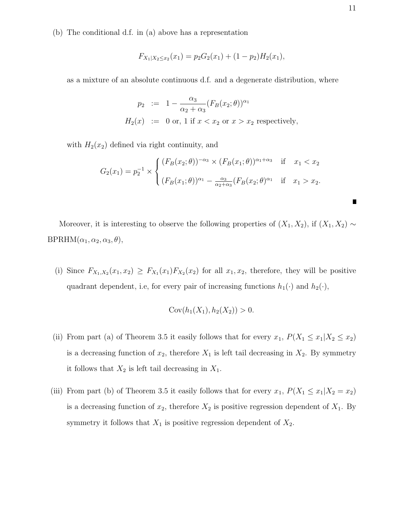(b) The conditional d.f. in (a) above has a representation

$$
F_{X_1|X_2 \le x_2}(x_1) = p_2 G_2(x_1) + (1 - p_2) H_2(x_1),
$$

as a mixture of an absolute continuous d.f. and a degenerate distribution, where

$$
p_2 := 1 - \frac{\alpha_3}{\alpha_2 + \alpha_3} (F_B(x_2; \theta))^{\alpha_1}
$$
  
\n
$$
H_2(x) := 0 \text{ or, } 1 \text{ if } x < x_2 \text{ or } x > x_2 \text{ respectively,}
$$

with  $H_2(x_2)$  defined via right continuity, and

$$
G_2(x_1) = p_2^{-1} \times \begin{cases} (F_B(x_2; \theta))^{-\alpha_3} \times (F_B(x_1; \theta))^{\alpha_1 + \alpha_3} & \text{if } x_1 < x_2 \\ (F_B(x_1; \theta))^{\alpha_1} - \frac{\alpha_3}{\alpha_2 + \alpha_3} (F_B(x_2; \theta)^{\alpha_1} & \text{if } x_1 > x_2. \end{cases}
$$

Moreover, it is interesting to observe the following properties of  $(X_1, X_2)$ , if  $(X_1, X_2) \sim$  $BPRHM(\alpha_1, \alpha_2, \alpha_3, \theta),$ 

(i) Since  $F_{X_1,X_2}(x_1,x_2) \geq F_{X_1}(x_1)F_{X_2}(x_2)$  for all  $x_1,x_2$ , therefore, they will be positive quadrant dependent, i.e, for every pair of increasing functions  $h_1(\cdot)$  and  $h_2(\cdot)$ ,

$$
Cov(h_1(X_1), h_2(X_2)) > 0.
$$

- (ii) From part (a) of Theorem 3.5 it easily follows that for every  $x_1$ ,  $P(X_1 \le x_1 | X_2 \le x_2)$ is a decreasing function of  $x_2$ , therefore  $X_1$  is left tail decreasing in  $X_2$ . By symmetry it follows that  $X_2$  is left tail decreasing in  $X_1$ .
- (iii) From part (b) of Theorem 3.5 it easily follows that for every  $x_1$ ,  $P(X_1 \le x_1 | X_2 = x_2)$ is a decreasing function of  $x_2$ , therefore  $X_2$  is positive regression dependent of  $X_1$ . By symmetry it follows that  $X_1$  is positive regression dependent of  $X_2$ .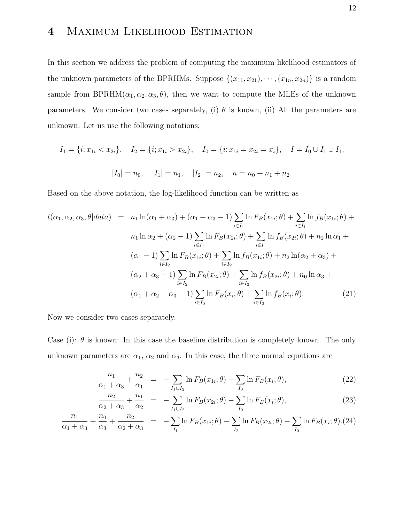# 4 Maximum Likelihood Estimation

In this section we address the problem of computing the maximum likelihood estimators of the unknown parameters of the BPRHMs. Suppose  $\{(x_{11}, x_{21}), \cdots, (x_{1n}, x_{2n})\}$  is a random sample from BPRHM( $\alpha_1, \alpha_2, \alpha_3, \theta$ ), then we want to compute the MLEs of the unknown parameters. We consider two cases separately, (i)  $\theta$  is known, (ii) All the parameters are unknown. Let us use the following notations;

$$
I_1 = \{i; x_{1i} < x_{2i}\}, \quad I_2 = \{i; x_{1i} > x_{2i}\}, \quad I_0 = \{i; x_{1i} = x_{2i} = x_i\}, \quad I = I_0 \cup I_1 \cup I_1,
$$
\n
$$
|I_0| = n_0, \quad |I_1| = n_1, \quad |I_2| = n_2, \quad n = n_0 + n_1 + n_2.
$$

Based on the above notation, the log-likelihood function can be written as

$$
l(\alpha_1, \alpha_2, \alpha_3, \theta | data) = n_1 \ln(\alpha_1 + \alpha_3) + (\alpha_1 + \alpha_3 - 1) \sum_{i \in I_1} \ln F_B(x_{1i}; \theta) + \sum_{i \in I_1} \ln f_B(x_{1i}; \theta) + n_1 \ln \alpha_2 + (\alpha_2 - 1) \sum_{i \in I_1} \ln F_B(x_{2i}; \theta) + \sum_{i \in I_1} \ln f_B(x_{2i}; \theta) + n_2 \ln \alpha_1 + (\alpha_1 - 1) \sum_{i \in I_2} \ln F_B(x_{1i}; \theta) + \sum_{i \in I_2} \ln f_B(x_{1i}; \theta) + n_2 \ln(\alpha_2 + \alpha_3) + (\alpha_2 + \alpha_3 - 1) \sum_{i \in I_2} \ln F_B(x_{2i}; \theta) + \sum_{i \in I_2} \ln f_B(x_{2i}; \theta) + n_0 \ln \alpha_3 + (\alpha_1 + \alpha_2 + \alpha_3 - 1) \sum_{i \in I_0} \ln F_B(x_i; \theta) + \sum_{i \in I_0} \ln f_B(x_i; \theta).
$$
 (21)

Now we consider two cases separately.

Case (i):  $\theta$  is known: In this case the baseline distribution is completely known. The only unknown parameters are  $\alpha_1$ ,  $\alpha_2$  and  $\alpha_3$ . In this case, the three normal equations are

$$
\frac{n_1}{\alpha_1 + \alpha_3} + \frac{n_2}{\alpha_1} = - \sum_{I_1 \cup I_2} \ln F_B(x_{1i}; \theta) - \sum_{I_0} \ln F_B(x_i; \theta), \tag{22}
$$

$$
\frac{n_2}{\alpha_2 + \alpha_3} + \frac{n_1}{\alpha_2} = - \sum_{I_1 \cup I_2} \ln F_B(x_{2i}; \theta) - \sum_{I_0} \ln F_B(x_i; \theta), \tag{23}
$$

$$
\frac{n_1}{\alpha_1 + \alpha_3} + \frac{n_0}{\alpha_3} + \frac{n_2}{\alpha_2 + \alpha_3} = -\sum_{I_1} \ln F_B(x_{1i}; \theta) - \sum_{I_2} \ln F_B(x_{2i}; \theta) - \sum_{I_0} \ln F_B(x_i; \theta). (24)
$$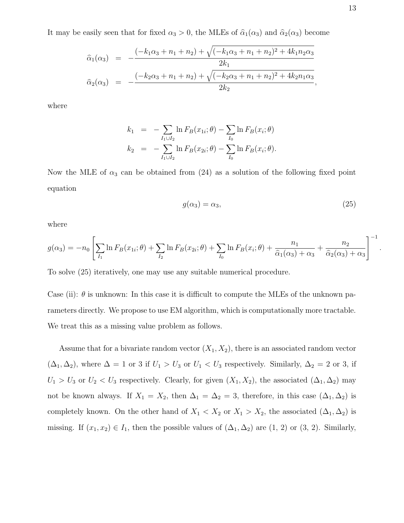It may be easily seen that for fixed  $\alpha_3 > 0$ , the MLEs of  $\hat{\alpha}_1(\alpha_3)$  and  $\hat{\alpha}_2(\alpha_3)$  become

$$
\hat{\alpha}_1(\alpha_3) = -\frac{(-k_1\alpha_3 + n_1 + n_2) + \sqrt{(-k_1\alpha_3 + n_1 + n_2)^2 + 4k_1n_2\alpha_3}}{2k_1}
$$
  

$$
\hat{\alpha}_2(\alpha_3) = -\frac{(-k_2\alpha_3 + n_1 + n_2) + \sqrt{(-k_2\alpha_3 + n_1 + n_2)^2 + 4k_2n_1\alpha_3}}{2k_2},
$$

where

$$
k_1 = - \sum_{I_1 \cup I_2} \ln F_B(x_{1i}; \theta) - \sum_{I_0} \ln F_B(x_i; \theta)
$$
  

$$
k_2 = - \sum_{I_1 \cup I_2} \ln F_B(x_{2i}; \theta) - \sum_{I_0} \ln F_B(x_i; \theta).
$$

Now the MLE of  $\alpha_3$  can be obtained from (24) as a solution of the following fixed point equation

$$
g(\alpha_3) = \alpha_3,\tag{25}
$$

where

$$
g(\alpha_3) = -n_0 \left[ \sum_{I_1} \ln F_B(x_{1i}; \theta) + \sum_{I_2} \ln F_B(x_{2i}; \theta) + \sum_{I_0} \ln F_B(x_i; \theta) + \frac{n_1}{\hat{\alpha}_1(\alpha_3) + \alpha_3} + \frac{n_2}{\hat{\alpha}_2(\alpha_3) + \alpha_3} \right]^{-1}
$$

To solve (25) iteratively, one may use any suitable numerical procedure.

Case (ii):  $\theta$  is unknown: In this case it is difficult to compute the MLEs of the unknown parameters directly. We propose to use EM algorithm, which is computationally more tractable. We treat this as a missing value problem as follows.

Assume that for a bivariate random vector  $(X_1, X_2)$ , there is an associated random vector  $(\Delta_1, \Delta_2)$ , where  $\Delta = 1$  or 3 if  $U_1 > U_3$  or  $U_1 < U_3$  respectively. Similarly,  $\Delta_2 = 2$  or 3, if  $U_1 > U_3$  or  $U_2 < U_3$  respectively. Clearly, for given  $(X_1, X_2)$ , the associated  $(\Delta_1, \Delta_2)$  may not be known always. If  $X_1 = X_2$ , then  $\Delta_1 = \Delta_2 = 3$ , therefore, in this case  $(\Delta_1, \Delta_2)$  is completely known. On the other hand of  $X_1 < X_2$  or  $X_1 > X_2$ , the associated  $(\Delta_1, \Delta_2)$  is missing. If  $(x_1, x_2) \in I_1$ , then the possible values of  $(\Delta_1, \Delta_2)$  are  $(1, 2)$  or  $(3, 2)$ . Similarly, .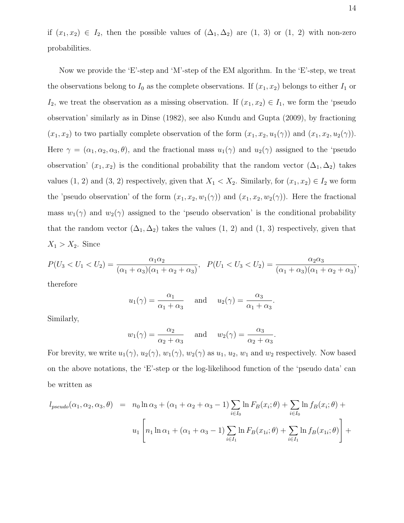if  $(x_1, x_2) \in I_2$ , then the possible values of  $(\Delta_1, \Delta_2)$  are  $(1, 3)$  or  $(1, 2)$  with non-zero probabilities.

Now we provide the 'E'-step and 'M'-step of the EM algorithm. In the 'E'-step, we treat the observations belong to  $I_0$  as the complete observations. If  $(x_1, x_2)$  belongs to either  $I_1$  or I<sub>2</sub>, we treat the observation as a missing observation. If  $(x_1, x_2) \in I_1$ , we form the 'pseudo observation' similarly as in Dinse (1982), see also Kundu and Gupta (2009), by fractioning  $(x_1, x_2)$  to two partially complete observation of the form  $(x_1, x_2, u_1(\gamma))$  and  $(x_1, x_2, u_2(\gamma))$ . Here  $\gamma = (\alpha_1, \alpha_2, \alpha_3, \theta)$ , and the fractional mass  $u_1(\gamma)$  and  $u_2(\gamma)$  assigned to the 'pseudo observation'  $(x_1, x_2)$  is the conditional probability that the random vector  $(\Delta_1, \Delta_2)$  takes values (1, 2) and (3, 2) respectively, given that  $X_1 < X_2$ . Similarly, for  $(x_1, x_2) \in I_2$  we form the 'pseudo observation' of the form  $(x_1, x_2, w_1(\gamma))$  and  $(x_1, x_2, w_2(\gamma))$ . Here the fractional mass  $w_1(\gamma)$  and  $w_2(\gamma)$  assigned to the 'pseudo observation' is the conditional probability that the random vector  $(\Delta_1, \Delta_2)$  takes the values  $(1, 2)$  and  $(1, 3)$  respectively, given that  $X_1 > X_2$ . Since

$$
P(U_3 < U_1 < U_2) = \frac{\alpha_1 \alpha_2}{(\alpha_1 + \alpha_3)(\alpha_1 + \alpha_2 + \alpha_3)}, \quad P(U_1 < U_3 < U_2) = \frac{\alpha_2 \alpha_3}{(\alpha_1 + \alpha_3)(\alpha_1 + \alpha_2 + \alpha_3)},
$$

therefore

$$
u_1(\gamma) = \frac{\alpha_1}{\alpha_1 + \alpha_3}
$$
 and  $u_2(\gamma) = \frac{\alpha_3}{\alpha_1 + \alpha_3}$ 

.

Similarly,

$$
w_1(\gamma) = \frac{\alpha_2}{\alpha_2 + \alpha_3}
$$
 and  $w_2(\gamma) = \frac{\alpha_3}{\alpha_2 + \alpha_3}$ .

For brevity, we write  $u_1(\gamma)$ ,  $u_2(\gamma)$ ,  $w_1(\gamma)$ ,  $w_2(\gamma)$  as  $u_1$ ,  $u_2$ ,  $w_1$  and  $w_2$  respectively. Now based on the above notations, the 'E'-step or the log-likelihood function of the 'pseudo data' can be written as

$$
l_{pseudo}(\alpha_1, \alpha_2, \alpha_3, \theta) = n_0 \ln \alpha_3 + (\alpha_1 + \alpha_2 + \alpha_3 - 1) \sum_{i \in I_0} \ln F_B(x_i; \theta) + \sum_{i \in I_0} \ln f_B(x_i; \theta) +
$$
  

$$
u_1 \left[ n_1 \ln \alpha_1 + (\alpha_1 + \alpha_3 - 1) \sum_{i \in I_1} \ln F_B(x_{1i}; \theta) + \sum_{i \in I_1} \ln f_B(x_{1i}; \theta) \right] +
$$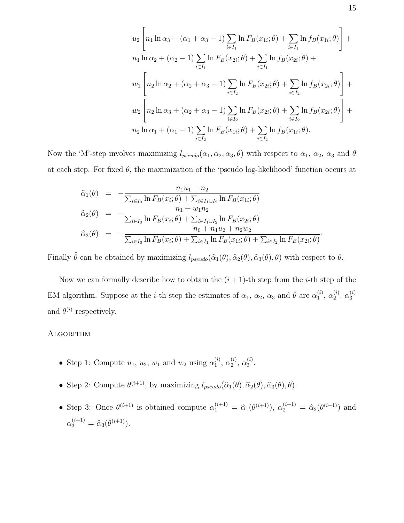$$
u_2 \left[ n_1 \ln \alpha_3 + (\alpha_1 + \alpha_3 - 1) \sum_{i \in I_1} \ln F_B(x_{1i}; \theta) + \sum_{i \in I_1} \ln f_B(x_{1i}; \theta) \right] +
$$
  
\n
$$
n_1 \ln \alpha_2 + (\alpha_2 - 1) \sum_{i \in I_1} \ln F_B(x_{2i}; \theta) + \sum_{i \in I_1} \ln f_B(x_{2i}; \theta) +
$$
  
\n
$$
w_1 \left[ n_2 \ln \alpha_2 + (\alpha_2 + \alpha_3 - 1) \sum_{i \in I_2} \ln F_B(x_{2i}; \theta) + \sum_{i \in I_2} \ln f_B(x_{2i}; \theta) \right] +
$$
  
\n
$$
w_2 \left[ n_2 \ln \alpha_3 + (\alpha_2 + \alpha_3 - 1) \sum_{i \in I_2} \ln F_B(x_{2i}; \theta) + \sum_{i \in I_2} \ln f_B(x_{2i}; \theta) \right] +
$$
  
\n
$$
n_2 \ln \alpha_1 + (\alpha_1 - 1) \sum_{i \in I_2} \ln F_B(x_{1i}; \theta) + \sum_{i \in I_2} \ln f_B(x_{1i}; \theta).
$$

Now the 'M'-step involves maximizing  $l_{pseudo}(\alpha_1, \alpha_2, \alpha_3, \theta)$  with respect to  $\alpha_1$ ,  $\alpha_2$ ,  $\alpha_3$  and  $\theta$ at each step. For fixed  $\theta$ , the maximization of the 'pseudo log-likelihood' function occurs at

$$
\hat{\alpha}_{1}(\theta) = -\frac{n_{1}u_{1} + n_{2}}{\sum_{i \in I_{0}} \ln F_{B}(x_{i}; \theta) + \sum_{i \in I_{1} \cup I_{2}} \ln F_{B}(x_{1i}; \theta)} \n\hat{\alpha}_{2}(\theta) = -\frac{n_{1} + w_{1}n_{2}}{\sum_{i \in I_{0}} \ln F_{B}(x_{i}; \theta) + \sum_{i \in I_{1} \cup I_{2}} \ln F_{B}(x_{2i}; \theta)} \n\hat{\alpha}_{3}(\theta) = -\frac{n_{0} + n_{1}u_{2} + n_{2}w_{2}}{\sum_{i \in I_{0}} \ln F_{B}(x_{i}; \theta) + \sum_{i \in I_{1}} \ln F_{B}(x_{1i}; \theta) + \sum_{i \in I_{2}} \ln F_{B}(x_{2i}; \theta)}.
$$

Finally  $\hat{\theta}$  can be obtained by maximizing  $l_{pseudo}(\hat{\alpha}_1(\theta), \hat{\alpha}_2(\theta), \hat{\alpha}_3(\theta), \theta)$  with respect to  $\theta$ .

Now we can formally describe how to obtain the  $(i + 1)$ -th step from the *i*-th step of the EM algorithm. Suppose at the *i*-th step the estimates of  $\alpha_1$ ,  $\alpha_2$ ,  $\alpha_3$  and  $\theta$  are  $\alpha_1^{(i)}$  $\binom{i}{1}, \alpha_2^{(i)}$  $_{2}^{(i)}, \alpha_{3}^{(i)}$ 3 and  $\theta^{(i)}$  respectively.

### Algorithm

- Step 1: Compute  $u_1, u_2, w_1$  and  $w_2$  using  $\alpha_1^{(i)}$  $\overset{(i)}{1}, \overset{(i)}{\alpha_2^{(i)}}$  $_2^{(i)}, \, \alpha_3^{(i)}$  $\frac{1}{3}$ .
- Step 2: Compute  $\theta^{(i+1)}$ , by maximizing  $l_{pseudo}(\hat{\alpha}_1(\theta), \hat{\alpha}_2(\theta), \hat{\alpha}_3(\theta), \theta)$ .
- Step 3: Once  $\theta^{(i+1)}$  is obtained compute  $\alpha_1^{(i+1)} = \hat{\alpha}_1(\theta^{(i+1)})$ ,  $\alpha_2^{(i+1)} = \hat{\alpha}_2(\theta^{(i+1)})$  and  $\alpha_3^{(i+1)} = \hat{\alpha}_3(\theta^{(i+1)}).$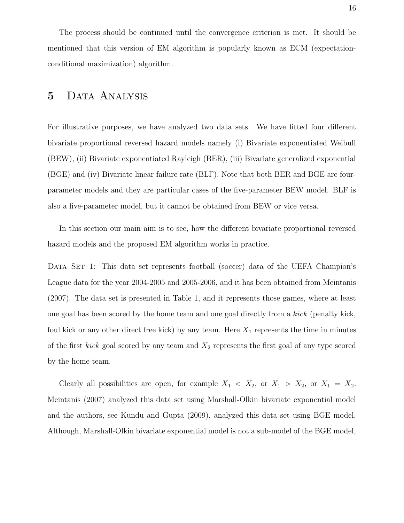The process should be continued until the convergence criterion is met. It should be mentioned that this version of EM algorithm is popularly known as ECM (expectationconditional maximization) algorithm.

## 5 DATA ANALYSIS

For illustrative purposes, we have analyzed two data sets. We have fitted four different bivariate proportional reversed hazard models namely (i) Bivariate exponentiated Weibull (BEW), (ii) Bivariate exponentiated Rayleigh (BER), (iii) Bivariate generalized exponential (BGE) and (iv) Bivariate linear failure rate (BLF). Note that both BER and BGE are fourparameter models and they are particular cases of the five-parameter BEW model. BLF is also a five-parameter model, but it cannot be obtained from BEW or vice versa.

In this section our main aim is to see, how the different bivariate proportional reversed hazard models and the proposed EM algorithm works in practice.

DATA SET 1: This data set represents football (soccer) data of the UEFA Champion's League data for the year 2004-2005 and 2005-2006, and it has been obtained from Meintanis (2007). The data set is presented in Table 1, and it represents those games, where at least one goal has been scored by the home team and one goal directly from a kick (penalty kick, foul kick or any other direct free kick) by any team. Here  $X_1$  represents the time in minutes of the first *kick* goal scored by any team and  $X_2$  represents the first goal of any type scored by the home team.

Clearly all possibilities are open, for example  $X_1 \lt X_2$ , or  $X_1 \gt X_2$ , or  $X_1 = X_2$ . Meintanis (2007) analyzed this data set using Marshall-Olkin bivariate exponential model and the authors, see Kundu and Gupta (2009), analyzed this data set using BGE model. Although, Marshall-Olkin bivariate exponential model is not a sub-model of the BGE model,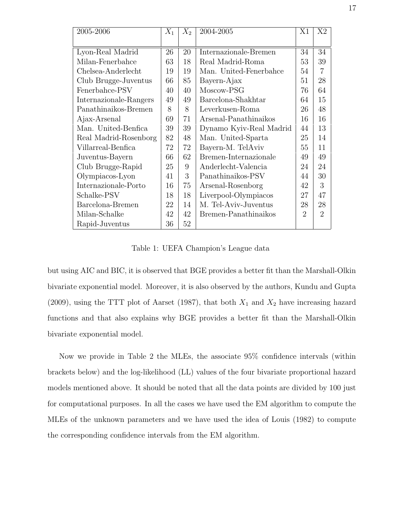| 2005-2006              | $X_1$ | $X_2$ | 2004-2005               |                | X <sub>2</sub>              |
|------------------------|-------|-------|-------------------------|----------------|-----------------------------|
|                        |       |       |                         |                |                             |
| Lyon-Real Madrid       | 26    | 20    | Internazionale-Bremen   | 34             | 34                          |
| Milan-Fenerbahce       | 63    | 18    | Real Madrid-Roma        | 53             | 39                          |
| Chelsea-Anderlecht     | 19    | 19    | Man. United-Fenerbahce  | 54             | 7                           |
| Club Brugge-Juventus   | 66    | 85    | Bayern-Ajax             | 51             | 28                          |
| Fenerbahce-PSV         | 40    | 40    | Moscow-PSG              | 76             | 64                          |
| Internazionale-Rangers | 49    | 49    | Barcelona-Shakhtar      | 64             | 15                          |
| Panathinaikos-Bremen   | 8     | 8     | Leverkusen-Roma         | 26             | 48                          |
| Ajax-Arsenal           | 69    | 71    | Arsenal-Panathinaikos   | 16             | 16                          |
| Man. United-Benfica    | 39    | 39    | Dynamo Kyiv-Real Madrid | 44             | 13                          |
| Real Madrid-Rosenborg  | 82    | 48    | Man. United-Sparta      | 25             | 14                          |
| Villarreal-Benfica     | 72    | 72    | Bayern-M. TelAviv       | 55             | 11                          |
| Juventus-Bayern        | 66    | 62    | Bremen-Internazionale   | 49             | 49                          |
| Club Brugge-Rapid      | 25    | 9     | Anderlecht-Valencia     | 24             | 24                          |
| Olympiacos-Lyon        | 41    | 3     | Panathinaikos-PSV       | 44             | 30                          |
| Internazionale-Porto   | 16    | 75    | Arsenal-Rosenborg       | 42             | 3                           |
| Schalke-PSV            | 18    | 18    | Liverpool-Olympiacos    | 27             | 47                          |
| Barcelona-Bremen       | 22    | 14    | M. Tel-Aviv-Juventus    | 28             | 28                          |
| Milan-Schalke          | 42    | 42    | Bremen-Panathinaikos    | $\overline{2}$ | $\mathcal{D}_{\mathcal{A}}$ |
| Rapid-Juventus         | 36    | 52    |                         |                |                             |

Table 1: UEFA Champion's League data

but using AIC and BIC, it is observed that BGE provides a better fit than the Marshall-Olkin bivariate exponential model. Moreover, it is also observed by the authors, Kundu and Gupta (2009), using the TTT plot of Aarset (1987), that both  $X_1$  and  $X_2$  have increasing hazard functions and that also explains why BGE provides a better fit than the Marshall-Olkin bivariate exponential model.

Now we provide in Table 2 the MLEs, the associate 95% confidence intervals (within brackets below) and the log-likelihood (LL) values of the four bivariate proportional hazard models mentioned above. It should be noted that all the data points are divided by 100 just for computational purposes. In all the cases we have used the EM algorithm to compute the MLEs of the unknown parameters and we have used the idea of Louis (1982) to compute the corresponding confidence intervals from the EM algorithm.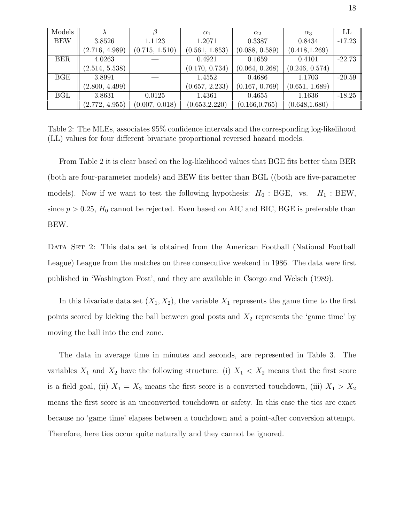| Models     |                |                | $\alpha_1$     | $\alpha_2$     | $\alpha_3$     | LL       |
|------------|----------------|----------------|----------------|----------------|----------------|----------|
| <b>BEW</b> | 3.8526         | 1.1123         | 1.2071         | 0.3387         | 0.8434         | $-17.23$ |
|            | (2.716, 4.989) | (0.715, 1.510) | (0.561, 1.853) | (0.088, 0.589) | (0.418, 1.269) |          |
| <b>BER</b> | 4.0263         |                | 0.4921         | 0.1659         | 0.4101         | $-22.73$ |
|            | (2.514, 5.538) |                | (0.170, 0.734) | (0.064, 0.268) | (0.246, 0.574) |          |
| BGE        | 3.8991         |                | 1.4552         | 0.4686         | 1.1703         | $-20.59$ |
|            | (2.800, 4.499) |                | (0.657, 2.233) | (0.167, 0.769) | (0.651, 1.689) |          |
| <b>BGL</b> | 3.8631         | 0.0125         | 1.4361         | 0.4655         | 1.1636         | $-18.25$ |
|            | (2.772, 4.955) | (0.007, 0.018) | (0.653, 2.220) | (0.166, 0.765) | (0.648, 1.680) |          |

Table 2: The MLEs, associates 95% confidence intervals and the corresponding log-likelihood (LL) values for four different bivariate proportional reversed hazard models.

From Table 2 it is clear based on the log-likelihood values that BGE fits better than BER (both are four-parameter models) and BEW fits better than BGL ((both are five-parameter models). Now if we want to test the following hypothesis:  $H_0$ : BGE, vs.  $H_1$ : BEW, since  $p > 0.25$ ,  $H_0$  cannot be rejected. Even based on AIC and BIC, BGE is preferable than BEW.

DATA SET 2: This data set is obtained from the American Football (National Football League) League from the matches on three consecutive weekend in 1986. The data were first published in 'Washington Post', and they are available in Csorgo and Welsch (1989).

In this bivariate data set  $(X_1, X_2)$ , the variable  $X_1$  represents the game time to the first points scored by kicking the ball between goal posts and  $X_2$  represents the 'game time' by moving the ball into the end zone.

The data in average time in minutes and seconds, are represented in Table 3. The variables  $X_1$  and  $X_2$  have the following structure: (i)  $X_1 \lt X_2$  means that the first score is a field goal, (ii)  $X_1 = X_2$  means the first score is a converted touchdown, (iii)  $X_1 > X_2$ means the first score is an unconverted touchdown or safety. In this case the ties are exact because no 'game time' elapses between a touchdown and a point-after conversion attempt. Therefore, here ties occur quite naturally and they cannot be ignored.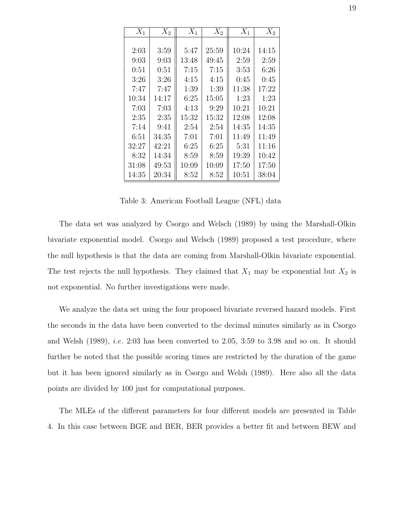| $X_1$ | $X_2$ | $X_1$ | $X_2$ | $X_1$ | $X_2$ |
|-------|-------|-------|-------|-------|-------|
|       |       |       |       |       |       |
| 2:03  | 3:59  | 5:47  | 25:59 | 10:24 | 14:15 |
| 9:03  | 9:03  | 13:48 | 49:45 | 2:59  | 2:59  |
| 0:51  | 0:51  | 7:15  | 7:15  | 3:53  | 6:26  |
| 3:26  | 3:26  | 4:15  | 4:15  | 0:45  | 0:45  |
| 7:47  | 7:47  | 1:39  | 1:39  | 11:38 | 17:22 |
| 10:34 | 14:17 | 6:25  | 15:05 | 1:23  | 1:23  |
| 7:03  | 7:03  | 4:13  | 9:29  | 10:21 | 10:21 |
| 2:35  | 2:35  | 15:32 | 15:32 | 12:08 | 12:08 |
| 7:14  | 9:41  | 2:54  | 2:54  | 14:35 | 14:35 |
| 6:51  | 34:35 | 7:01  | 7:01  | 11:49 | 11:49 |
| 32:27 | 42:21 | 6:25  | 6:25  | 5:31  | 11:16 |
| 8:32  | 14:34 | 8:59  | 8:59  | 19:39 | 10:42 |
| 31:08 | 49:53 | 10:09 | 10:09 | 17:50 | 17:50 |
| 14:35 | 20:34 | 8:52  | 8:52  | 10:51 | 38:04 |

Table 3: American Football League (NFL) data

The data set was analyzed by Csorgo and Welsch (1989) by using the Marshall-Olkin bivariate exponential model. Csorgo and Welsch (1989) proposed a test procedure, where the null hypothesis is that the data are coming from Marshall-Olkin bivariate exponential. The test rejects the null hypothesis. They claimed that  $X_1$  may be exponential but  $X_2$  is not exponential. No further investigations were made.

We analyze the data set using the four proposed bivariate reversed hazard models. First the seconds in the data have been converted to the decimal minutes similarly as in Csorgo and Welsh (1989), i.e. 2:03 has been converted to 2.05, 3:59 to 3.98 and so on. It should further be noted that the possible scoring times are restricted by the duration of the game but it has been ignored similarly as in Csorgo and Welsh (1989). Here also all the data points are divided by 100 just for computational purposes.

The MLEs of the different parameters for four different models are presented in Table 4. In this case between BGE and BER, BER provides a better fit and between BEW and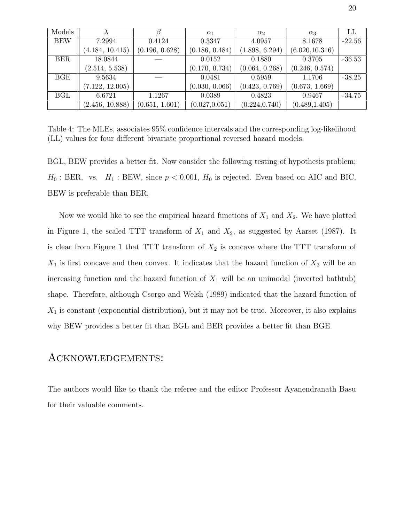| Models     |                 |                | $\alpha_1$     | $\alpha_2$     | $\alpha_3$      | LL       |
|------------|-----------------|----------------|----------------|----------------|-----------------|----------|
| <b>BEW</b> | 7.2994          | 0.4124         | 0.3347         | 4.0957         | 8.1678          | $-22.56$ |
|            | (4.184, 10.415) | (0.196, 0.628) | (0.186, 0.484) | (1.898, 6.294) | (6.020, 10.316) |          |
| <b>BER</b> | 18.0844         |                | 0.0152         | 0.1880         | 0.3705          | $-36.53$ |
|            | (2.514, 5.538)  |                | (0.170, 0.734) | (0.064, 0.268) | (0.246, 0.574)  |          |
| BGE        | 9.5634          |                | 0.0481         | 0.5959         | 1.1706          | $-38.25$ |
|            | (7.122, 12.005) |                | (0.030, 0.066) | (0.423, 0.769) | (0.673, 1.669)  |          |
| BGL        | 6.6721          | 1.1267         | 0.0389         | 0.4823         | 0.9467          | $-34.75$ |
|            | (2.456, 10.888) | (0.651, 1.601) | (0.027, 0.051) | (0.224, 0.740) | (0.489, 1.405)  |          |

Table 4: The MLEs, associates 95% confidence intervals and the corresponding log-likelihood (LL) values for four different bivariate proportional reversed hazard models.

BGL, BEW provides a better fit. Now consider the following testing of hypothesis problem;  $H_0$ : BER, vs.  $H_1$ : BEW, since  $p < 0.001$ ,  $H_0$  is rejected. Even based on AIC and BIC, BEW is preferable than BER.

Now we would like to see the empirical hazard functions of  $X_1$  and  $X_2$ . We have plotted in Figure 1, the scaled TTT transform of  $X_1$  and  $X_2$ , as suggested by Aarset (1987). It is clear from Figure 1 that TTT transform of  $X_2$  is concave where the TTT transform of  $X_1$  is first concave and then convex. It indicates that the hazard function of  $X_2$  will be an increasing function and the hazard function of  $X_1$  will be an unimodal (inverted bathtub) shape. Therefore, although Csorgo and Welsh (1989) indicated that the hazard function of  $X_1$  is constant (exponential distribution), but it may not be true. Moreover, it also explains why BEW provides a better fit than BGL and BER provides a better fit than BGE.

### Acknowledgements:

The authors would like to thank the referee and the editor Professor Ayanendranath Basu for their valuable comments.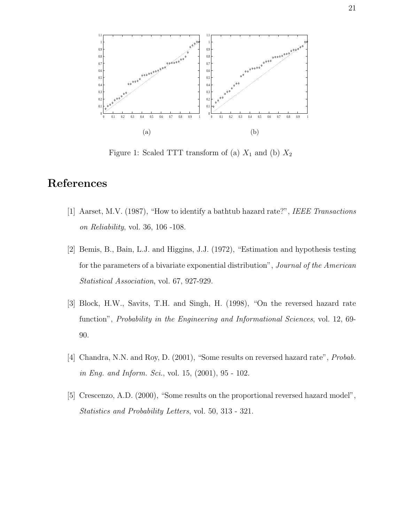

Figure 1: Scaled TTT transform of (a)  $X_1$  and (b)  $X_2$ 

# References

- [1] Aarset, M.V. (1987), "How to identify a bathtub hazard rate?", IEEE Transactions on Reliability, vol. 36, 106 -108.
- [2] Bemis, B., Bain, L.J. and Higgins, J.J. (1972), "Estimation and hypothesis testing for the parameters of a bivariate exponential distribution", Journal of the American Statistical Association, vol. 67, 927-929.
- [3] Block, H.W., Savits, T.H. and Singh, H. (1998), "On the reversed hazard rate function", *Probability in the Engineering and Informational Sciences*, vol. 12, 69-90.
- [4] Chandra, N.N. and Roy, D. (2001), "Some results on reversed hazard rate", Probab. in Eng. and Inform. Sci., vol. 15, (2001), 95 - 102.
- [5] Crescenzo, A.D. (2000), "Some results on the proportional reversed hazard model", Statistics and Probability Letters, vol. 50, 313 - 321.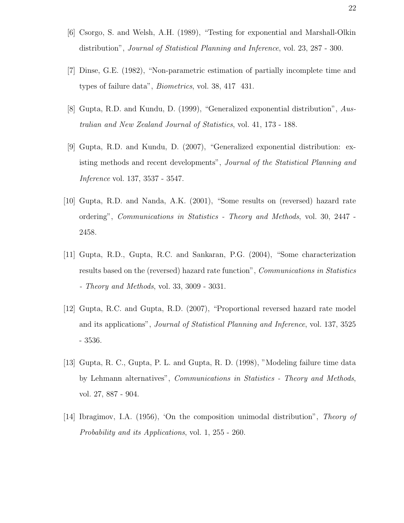- [6] Csorgo, S. and Welsh, A.H. (1989), "Testing for exponential and Marshall-Olkin distribution", Journal of Statistical Planning and Inference, vol. 23, 287 - 300.
- [7] Dinse, G.E. (1982), "Non-parametric estimation of partially incomplete time and types of failure data", Biometrics, vol. 38, 417 431.
- [8] Gupta, R.D. and Kundu, D. (1999), "Generalized exponential distribution", Australian and New Zealand Journal of Statistics, vol. 41, 173 - 188.
- [9] Gupta, R.D. and Kundu, D. (2007), "Generalized exponential distribution: existing methods and recent developments", Journal of the Statistical Planning and Inference vol. 137, 3537 - 3547.
- [10] Gupta, R.D. and Nanda, A.K. (2001), "Some results on (reversed) hazard rate ordering", Communications in Statistics - Theory and Methods, vol. 30, 2447 - 2458.
- [11] Gupta, R.D., Gupta, R.C. and Sankaran, P.G. (2004), "Some characterization results based on the (reversed) hazard rate function", Communications in Statistics - Theory and Methods, vol. 33, 3009 - 3031.
- [12] Gupta, R.C. and Gupta, R.D. (2007), "Proportional reversed hazard rate model and its applications", Journal of Statistical Planning and Inference, vol. 137, 3525 - 3536.
- [13] Gupta, R. C., Gupta, P. L. and Gupta, R. D. (1998), "Modeling failure time data by Lehmann alternatives", Communications in Statistics - Theory and Methods, vol. 27, 887 - 904.
- [14] Ibragimov, I.A. (1956), 'On the composition unimodal distribution", Theory of Probability and its Applications, vol. 1, 255 - 260.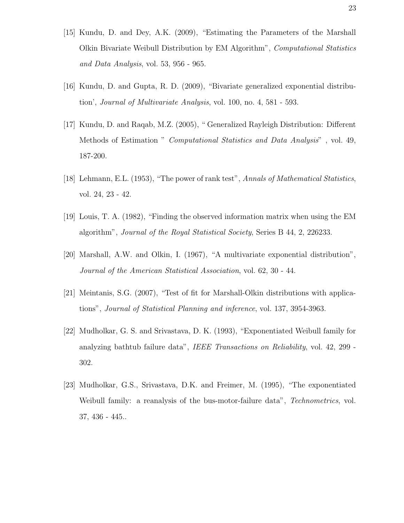- [15] Kundu, D. and Dey, A.K. (2009), "Estimating the Parameters of the Marshall Olkin Bivariate Weibull Distribution by EM Algorithm", Computational Statistics and Data Analysis, vol. 53, 956 - 965.
- [16] Kundu, D. and Gupta, R. D. (2009), "Bivariate generalized exponential distribution', Journal of Multivariate Analysis, vol. 100, no. 4, 581 - 593.
- [17] Kundu, D. and Raqab, M.Z. (2005), " Generalized Rayleigh Distribution: Different Methods of Estimation " Computational Statistics and Data Analysis" , vol. 49, 187-200.
- [18] Lehmann, E.L. (1953), "The power of rank test", Annals of Mathematical Statistics, vol. 24, 23 - 42.
- [19] Louis, T. A. (1982), "Finding the observed information matrix when using the EM algorithm", Journal of the Royal Statistical Society, Series B 44, 2, 226233.
- [20] Marshall, A.W. and Olkin, I. (1967), "A multivariate exponential distribution", Journal of the American Statistical Association, vol. 62, 30 - 44.
- [21] Meintanis, S.G. (2007), "Test of fit for Marshall-Olkin distributions with applications", Journal of Statistical Planning and inference, vol. 137, 3954-3963.
- [22] Mudholkar, G. S. and Srivastava, D. K. (1993), "Exponentiated Weibull family for analyzing bathtub failure data", IEEE Transactions on Reliability, vol. 42, 299 - 302.
- [23] Mudholkar, G.S., Srivastava, D.K. and Freimer, M. (1995), "The exponentiated Weibull family: a reanalysis of the bus-motor-failure data", Technometrics, vol. 37, 436 - 445..